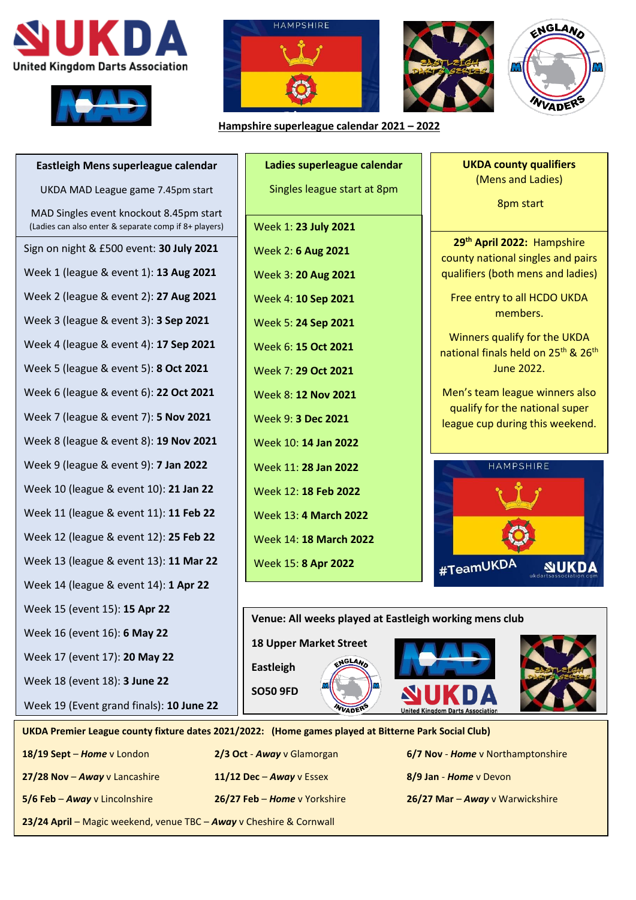





**Hampshire superleague calendar 2021 – 2022**





**Eastleigh Mens superleague calendar** UKDA MAD League game 7.45pm start MAD Singles event knockout 8.45pm start (Ladies can also enter & separate comp if 8+ players) Sign on night & £500 event: **30 July 2021** Week 1 (league & event 1): **13 Aug 2021** Week 2 (league & event 2): **27 Aug 2021** Week 3 (league & event 3): **3 Sep 2021** Week 4 (league & event 4): **17 Sep 2021** Week 5 (league & event 5): **8 Oct 2021** Week 6 (league & event 6): **22 Oct 2021** Week 7 (league & event 7): **5 Nov 2021** Week 8 (league & event 8): **19 Nov 2021** Week 9 (league & event 9): **7 Jan 2022** Week 10 (league & event 10): **21 Jan 22** Week 11 (league & event 11): **11 Feb 22** Week 12 (league & event 12): **25 Feb 22** Week 13 (league & event 13): **11 Mar 22** Week 14 (league & event 14): **1 Apr 22** Week 15 (event 15): **15 Apr 22** Week 16 (event 16): **6 May 22** Week 17 (event 17): **20 May 22** Week 18 (event 18): **3 June 22** Week 19 (Event grand finals): **10 June 22**

**Ladies superleague calendar** Singles league start at 8pm Week 1: **23 July 2021** Week 2: **6 Aug 2021** Week 3: **20 Aug 2021** Week 4: **10 Sep 2021** Week 5: **24 Sep 2021** Week 6: **15 Oct 2021** Week 7: **29 Oct 2021** Week 8: **12 Nov 2021** Week 9: **3 Dec 2021** Week 10: **14 Jan 2022** Week 11: **28 Jan 2022** Week 12: **18 Feb 2022** Week 13: **4 March 2022** Week 14: **18 March 2022** Week 15: **8 Apr 2022**

**UKDA county qualifiers** (Mens and Ladies) 8pm start

**29th April 2022:** Hampshire county national singles and pairs qualifiers (both mens and ladies)

Free entry to all HCDO UKDA members.

Winners qualify for the UKDA national finals held on 25<sup>th</sup> & 26<sup>th</sup> June 2022.

Men's team league winners also qualify for the national super league cup during this weekend.





**UKDA Premier League county fixture dates 2021/2022: (Home games played at Bitterne Park Social Club)**

**23/24 April** – Magic weekend, venue TBC – *Away* v Cheshire & Cornwall

**27/28 Nov** – *Away* v Lancashire **11/12 Dec** – *Away* v Essex **8/9 Jan** - *Home* v Devon **5/6 Feb** – *Away* v Lincolnshire **26/27 Feb** – *Home* v Yorkshire **26/27 Mar** – *Away* v Warwickshire

**18/19 Sept** – *Home* v London **2/3 Oct** - *Away* v Glamorgan **6/7 Nov** - *Home* v Northamptonshire